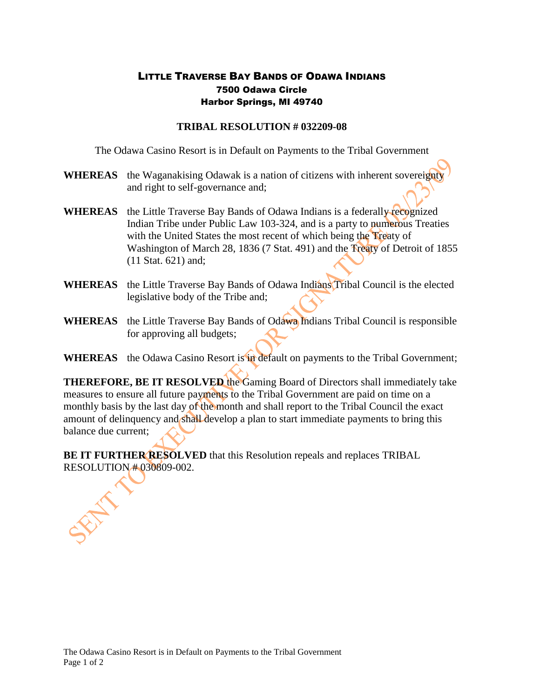## LITTLE TRAVERSE BAY BANDS OF ODAWA INDIANS 7500 Odawa Circle Harbor Springs, MI 49740

## **TRIBAL RESOLUTION # 032209-08**

The Odawa Casino Resort is in Default on Payments to the Tribal Government

- **WHEREAS** the Waganakising Odawak is a nation of citizens with inherent sovereignty and right to self-governance and;
- **WHEREAS** the Little Traverse Bay Bands of Odawa Indians is a federally recognized Indian Tribe under Public Law 103-324, and is a party to numerous Treaties with the United States the most recent of which being the Treaty of Washington of March 28, 1836 (7 Stat. 491) and the Treaty of Detroit of 1855 (11 Stat. 621) and;
- **WHEREAS** the Little Traverse Bay Bands of Odawa Indians Tribal Council is the elected legislative body of the Tribe and;
- **WHEREAS** the Little Traverse Bay Bands of Odawa Indians Tribal Council is responsible for approving all budgets;
- **WHEREAS** the Odawa Casino Resort is in default on payments to the Tribal Government;

**THEREFORE, BE IT RESOLVED** the Gaming Board of Directors shall immediately take measures to ensure all future payments to the Tribal Government are paid on time on a monthly basis by the last day of the month and shall report to the Tribal Council the exact amount of delinquency and shall develop a plan to start immediate payments to bring this balance due current;

**BE IT FURTHER RESOLVED** that this Resolution repeals and replaces TRIBAL RESOLUTION # 030809-002.